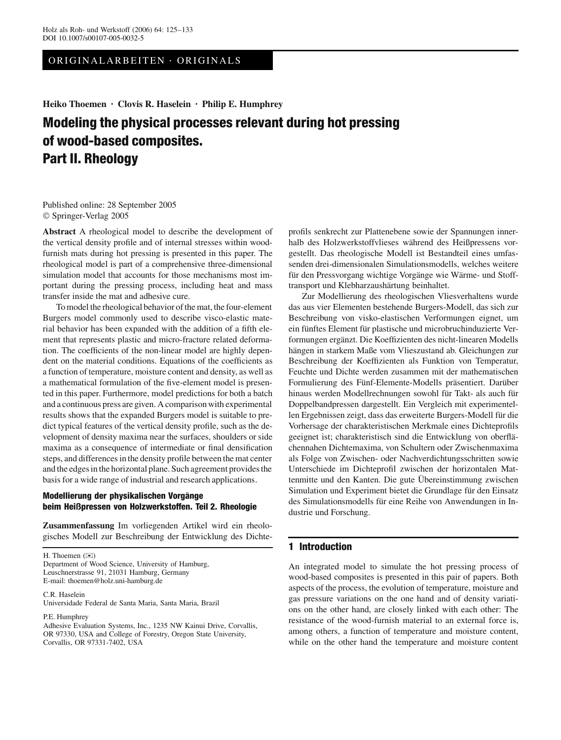# ORIGINALARBEITEN · ORIGINALS

**Heiko Thoemen · Clovis R. Haselein · Philip E. Humphrey**

# **Modeling the physical processes relevant during hot pressing of wood-based composites. Part II. Rheology**

Published online: 28 September 2005 © Springer-Verlag 2005

**Abstract** A rheological model to describe the development of the vertical density profile and of internal stresses within woodfurnish mats during hot pressing is presented in this paper. The rheological model is part of a comprehensive three-dimensional simulation model that accounts for those mechanisms most important during the pressing process, including heat and mass transfer inside the mat and adhesive cure.

To model the rheological behavior of the mat, the four-element Burgers model commonly used to describe visco-elastic material behavior has been expanded with the addition of a fifth element that represents plastic and micro-fracture related deformation. The coefficients of the non-linear model are highly dependent on the material conditions. Equations of the coefficients as a function of temperature, moisture content and density, as well as a mathematical formulation of the five-element model is presented in this paper. Furthermore, model predictions for both a batch and a continuous press are given. A comparison with experimental results shows that the expanded Burgers model is suitable to predict typical features of the vertical density profile, such as the development of density maxima near the surfaces, shoulders or side maxima as a consequence of intermediate or final densification steps, and differences in the density profile between the mat center and the edges in the horizontal plane. Such agreement provides the basis for a wide range of industrial and research applications.

# **Modellierung der physikalischen Vorgange** ¨ **beim Heißpressen von Holzwerkstoffen. Teil 2. Rheologie**

**Zusammenfassung** Im vorliegenden Artikel wird ein rheologisches Modell zur Beschreibung der Entwicklung des Dichte-

H. Thoemen ( $\bowtie$ )

C.R. Haselein Universidade Federal de Santa Maria, Santa Maria, Brazil

P.E. Humphrey

Adhesive Evaluation Systems, Inc., 1235 NW Kainui Drive, Corvallis, OR 97330, USA and College of Forestry, Oregon State University, Corvallis, OR 97331-7402, USA

profils senkrecht zur Plattenebene sowie der Spannungen innerhalb des Holzwerkstoffvlieses während des Heißpressens vorgestellt. Das rheologische Modell ist Bestandteil eines umfassenden drei-dimensionalen Simulationsmodells, welches weitere für den Pressvorgang wichtige Vorgänge wie Wärme- und Stofftransport und Klebharzaushärtung beinhaltet.

Zur Modellierung des rheologischen Vliesverhaltens wurde das aus vier Elementen bestehende Burgers-Modell, das sich zur Beschreibung von visko-elastischen Verformungen eignet, um ein fünftes Element für plastische und microbruchinduzierte Verformungen ergänzt. Die Koeffizienten des nicht-linearen Modells hängen in starkem Maße vom Vlieszustand ab. Gleichungen zur Beschreibung der Koeffizienten als Funktion von Temperatur, Feuchte und Dichte werden zusammen mit der mathematischen Formulierung des Fünf-Elemente-Modells präsentiert. Darüber hinaus werden Modellrechnungen sowohl für Takt- als auch für Doppelbandpressen dargestellt. Ein Vergleich mit experimentellen Ergebnissen zeigt, dass das erweiterte Burgers-Modell für die Vorhersage der charakteristischen Merkmale eines Dichteprofils geeignet ist; charakteristisch sind die Entwicklung von oberflächennahen Dichtemaxima, von Schultern oder Zwischenmaxima als Folge von Zwischen- oder Nachverdichtungsschritten sowie Unterschiede im Dichteprofil zwischen der horizontalen Mattenmitte und den Kanten. Die gute Übereinstimmung zwischen Simulation und Experiment bietet die Grundlage für den Einsatz des Simulationsmodells für eine Reihe von Anwendungen in Industrie und Forschung.

# **1 Introduction**

An integrated model to simulate the hot pressing process of wood-based composites is presented in this pair of papers. Both aspects of the process, the evolution of temperature, moisture and gas pressure variations on the one hand and of density variations on the other hand, are closely linked with each other: The resistance of the wood-furnish material to an external force is, among others, a function of temperature and moisture content, while on the other hand the temperature and moisture content

Department of Wood Science, University of Hamburg, Leuschnerstrasse 91, 21031 Hamburg, Germany E-mail: thoemen@holz.uni-hamburg.de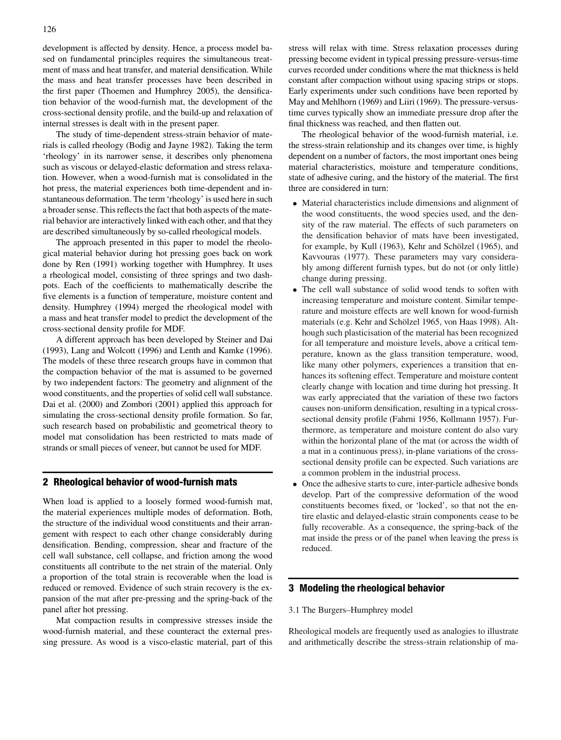development is affected by density. Hence, a process model based on fundamental principles requires the simultaneous treatment of mass and heat transfer, and material densification. While the mass and heat transfer processes have been described in the first paper (Thoemen and Humphrey 2005), the densification behavior of the wood-furnish mat, the development of the cross-sectional density profile, and the build-up and relaxation of internal stresses is dealt with in the present paper.

The study of time-dependent stress-strain behavior of materials is called rheology (Bodig and Jayne 1982). Taking the term 'rheology' in its narrower sense, it describes only phenomena such as viscous or delayed-elastic deformation and stress relaxation. However, when a wood-furnish mat is consolidated in the hot press, the material experiences both time-dependent and instantaneous deformation. The term 'rheology' is used here in such a broader sense. This reflects the fact that both aspects of the material behavior are interactively linked with each other, and that they are described simultaneously by so-called rheological models.

The approach presented in this paper to model the rheological material behavior during hot pressing goes back on work done by Ren (1991) working together with Humphrey. It uses a rheological model, consisting of three springs and two dashpots. Each of the coefficients to mathematically describe the five elements is a function of temperature, moisture content and density. Humphrey (1994) merged the rheological model with a mass and heat transfer model to predict the development of the cross-sectional density profile for MDF.

A different approach has been developed by Steiner and Dai (1993), Lang and Wolcott (1996) and Lenth and Kamke (1996). The models of these three research groups have in common that the compaction behavior of the mat is assumed to be governed by two independent factors: The geometry and alignment of the wood constituents, and the properties of solid cell wall substance. Dai et al. (2000) and Zombori (2001) applied this approach for simulating the cross-sectional density profile formation. So far, such research based on probabilistic and geometrical theory to model mat consolidation has been restricted to mats made of strands or small pieces of veneer, but cannot be used for MDF.

# **2 Rheological behavior of wood-furnish mats**

When load is applied to a loosely formed wood-furnish mat, the material experiences multiple modes of deformation. Both, the structure of the individual wood constituents and their arrangement with respect to each other change considerably during densification. Bending, compression, shear and fracture of the cell wall substance, cell collapse, and friction among the wood constituents all contribute to the net strain of the material. Only a proportion of the total strain is recoverable when the load is reduced or removed. Evidence of such strain recovery is the expansion of the mat after pre-pressing and the spring-back of the panel after hot pressing.

Mat compaction results in compressive stresses inside the wood-furnish material, and these counteract the external pressing pressure. As wood is a visco-elastic material, part of this stress will relax with time. Stress relaxation processes during pressing become evident in typical pressing pressure-versus-time curves recorded under conditions where the mat thickness is held constant after compaction without using spacing strips or stops. Early experiments under such conditions have been reported by May and Mehlhorn (1969) and Liiri (1969). The pressure-versustime curves typically show an immediate pressure drop after the final thickness was reached, and then flatten out.

The rheological behavior of the wood-furnish material, i.e. the stress-strain relationship and its changes over time, is highly dependent on a number of factors, the most important ones being material characteristics, moisture and temperature conditions, state of adhesive curing, and the history of the material. The first three are considered in turn:

- Material characteristics include dimensions and alignment of the wood constituents, the wood species used, and the density of the raw material. The effects of such parameters on the densification behavior of mats have been investigated, for example, by Kull (1963), Kehr and Schölzel (1965), and Kavvouras (1977). These parameters may vary considerably among different furnish types, but do not (or only little) change during pressing.
- The cell wall substance of solid wood tends to soften with increasing temperature and moisture content. Similar temperature and moisture effects are well known for wood-furnish materials (e.g. Kehr and Schölzel 1965, von Haas 1998). Although such plasticisation of the material has been recognized for all temperature and moisture levels, above a critical temperature, known as the glass transition temperature, wood, like many other polymers, experiences a transition that enhances its softening effect. Temperature and moisture content clearly change with location and time during hot pressing. It was early appreciated that the variation of these two factors causes non-uniform densification, resulting in a typical crosssectional density profile (Fahrni 1956, Kollmann 1957). Furthermore, as temperature and moisture content do also vary within the horizontal plane of the mat (or across the width of a mat in a continuous press), in-plane variations of the crosssectional density profile can be expected. Such variations are a common problem in the industrial process.
- Once the adhesive starts to cure, inter-particle adhesive bonds develop. Part of the compressive deformation of the wood constituents becomes fixed, or 'locked', so that not the entire elastic and delayed-elastic strain components cease to be fully recoverable. As a consequence, the spring-back of the mat inside the press or of the panel when leaving the press is reduced.

# **3 Modeling the rheological behavior**

3.1 The Burgers–Humphrey model

Rheological models are frequently used as analogies to illustrate and arithmetically describe the stress-strain relationship of ma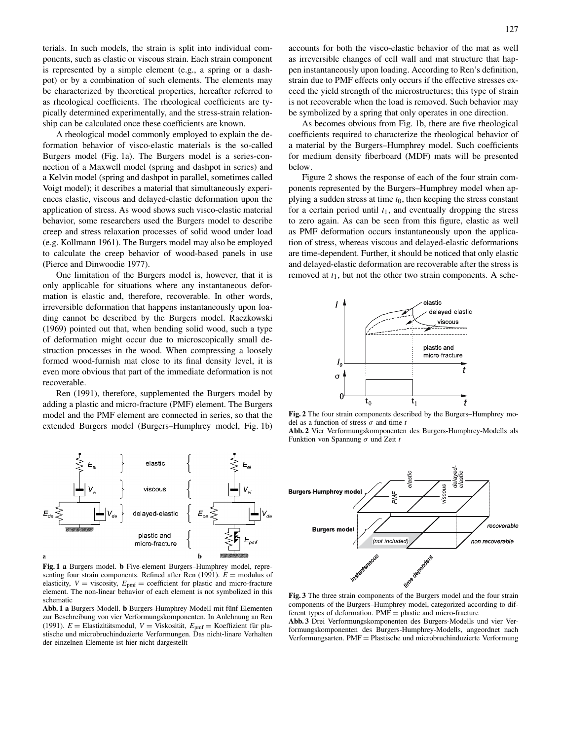terials. In such models, the strain is split into individual components, such as elastic or viscous strain. Each strain component is represented by a simple element (e.g., a spring or a dashpot) or by a combination of such elements. The elements may be characterized by theoretical properties, hereafter referred to as rheological coefficients. The rheological coefficients are typically determined experimentally, and the stress-strain relationship can be calculated once these coefficients are known.

A rheological model commonly employed to explain the deformation behavior of visco-elastic materials is the so-called Burgers model (Fig. 1a). The Burgers model is a series-connection of a Maxwell model (spring and dashpot in series) and a Kelvin model (spring and dashpot in parallel, sometimes called Voigt model); it describes a material that simultaneously experiences elastic, viscous and delayed-elastic deformation upon the application of stress. As wood shows such visco-elastic material behavior, some researchers used the Burgers model to describe creep and stress relaxation processes of solid wood under load (e.g. Kollmann 1961). The Burgers model may also be employed to calculate the creep behavior of wood-based panels in use (Pierce and Dinwoodie 1977).

One limitation of the Burgers model is, however, that it is only applicable for situations where any instantaneous deformation is elastic and, therefore, recoverable. In other words, irreversible deformation that happens instantaneously upon loading cannot be described by the Burgers model. Raczkowski (1969) pointed out that, when bending solid wood, such a type of deformation might occur due to microscopically small destruction processes in the wood. When compressing a loosely formed wood-furnish mat close to its final density level, it is even more obvious that part of the immediate deformation is not recoverable.

Ren (1991), therefore, supplemented the Burgers model by adding a plastic and micro-fracture (PMF) element. The Burgers model and the PMF element are connected in series, so that the extended Burgers model (Burgers–Humphrey model, Fig. 1b)



**Fig. 1 a** Burgers model. **b** Five-element Burgers–Humphrey model, representing four strain components. Refined after Ren  $(1991)$ .  $E =$  modulus of elasticity,  $V =$  viscosity,  $E_{\text{pmf}} =$  coefficient for plastic and micro-fracture element. The non-linear behavior of each element is not symbolized in this schematic

**Abb. 1 a** Burgers-Modell. **b** Burgers-Humphrey-Modell mit fünf Elementen zur Beschreibung von vier Verformungskomponenten. In Anlehnung an Ren (1991).  $E =$  Elastizitätsmodul,  $V =$  Viskosität,  $E_{\text{pmf}} =$  Koeffizient für plastische und microbruchinduzierte Verformungen. Das nicht-linare Verhalten der einzelnen Elemente ist hier nicht dargestellt

accounts for both the visco-elastic behavior of the mat as well as irreversible changes of cell wall and mat structure that happen instantaneously upon loading. According to Ren's definition, strain due to PMF effects only occurs if the effective stresses exceed the yield strength of the microstructures; this type of strain is not recoverable when the load is removed. Such behavior may be symbolized by a spring that only operates in one direction.

As becomes obvious from Fig. 1b, there are five rheological coefficients required to characterize the rheological behavior of a material by the Burgers–Humphrey model. Such coefficients for medium density fiberboard (MDF) mats will be presented below.

Figure 2 shows the response of each of the four strain components represented by the Burgers–Humphrey model when applying a sudden stress at time  $t_0$ , then keeping the stress constant for a certain period until  $t_1$ , and eventually dropping the stress to zero again. As can be seen from this figure, elastic as well as PMF deformation occurs instantaneously upon the application of stress, whereas viscous and delayed-elastic deformations are time-dependent. Further, it should be noticed that only elastic and delayed-elastic deformation are recoverable after the stress is removed at  $t_1$ , but not the other two strain components. A sche-



**Fig. 2** The four strain components described by the Burgers–Humphrey model as a function of stress σ and time *t*

**Abb. 2** Vier Verformungskomponenten des Burgers-Humphrey-Modells als Funktion von Spannung σ und Zeit *t*



**Fig. 3** The three strain components of the Burgers model and the four strain components of the Burgers–Humphrey model, categorized according to different types of deformation. PMF = plastic and micro-fracture

**Abb. 3** Drei Verformungskomponenten des Burgers-Modells und vier Verformungskomponenten des Burgers-Humphrey-Modells, angeordnet nach Verformungsarten. PMF = Plastische und microbruchinduzierte Verformung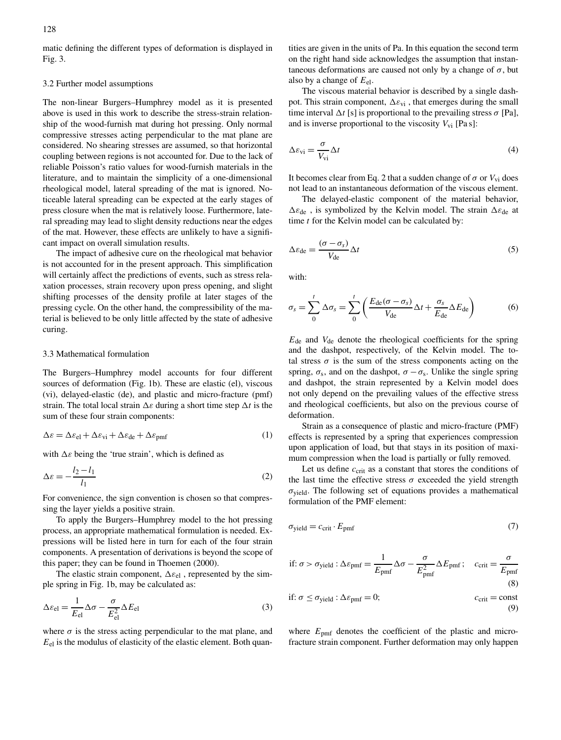matic defining the different types of deformation is displayed in Fig. 3.

#### 3.2 Further model assumptions

The non-linear Burgers–Humphrey model as it is presented above is used in this work to describe the stress-strain relationship of the wood-furnish mat during hot pressing. Only normal compressive stresses acting perpendicular to the mat plane are considered. No shearing stresses are assumed, so that horizontal coupling between regions is not accounted for. Due to the lack of reliable Poisson's ratio values for wood-furnish materials in the literature, and to maintain the simplicity of a one-dimensional rheological model, lateral spreading of the mat is ignored. Noticeable lateral spreading can be expected at the early stages of press closure when the mat is relatively loose. Furthermore, lateral spreading may lead to slight density reductions near the edges of the mat. However, these effects are unlikely to have a significant impact on overall simulation results.

The impact of adhesive cure on the rheological mat behavior is not accounted for in the present approach. This simplification will certainly affect the predictions of events, such as stress relaxation processes, strain recovery upon press opening, and slight shifting processes of the density profile at later stages of the pressing cycle. On the other hand, the compressibility of the material is believed to be only little affected by the state of adhesive curing.

#### 3.3 Mathematical formulation

The Burgers–Humphrey model accounts for four different sources of deformation (Fig. 1b). These are elastic (el), viscous (vi), delayed-elastic (de), and plastic and micro-fracture (pmf) strain. The total local strain ∆ε during a short time step ∆*t* is the sum of these four strain components:

$$
\Delta \varepsilon = \Delta \varepsilon_{el} + \Delta \varepsilon_{vi} + \Delta \varepsilon_{de} + \Delta \varepsilon_{pmf}
$$
 (1)

with  $\Delta \varepsilon$  being the 'true strain', which is defined as

$$
\Delta \varepsilon = -\frac{l_2 - l_1}{l_1} \tag{2}
$$

For convenience, the sign convention is chosen so that compressing the layer yields a positive strain.

To apply the Burgers–Humphrey model to the hot pressing process, an appropriate mathematical formulation is needed. Expressions will be listed here in turn for each of the four strain components. A presentation of derivations is beyond the scope of this paper; they can be found in Thoemen (2000).

The elastic strain component,  $\Delta \varepsilon_{el}$ , represented by the simple spring in Fig. 1b, may be calculated as:

$$
\Delta \varepsilon_{\rm el} = \frac{1}{E_{\rm el}} \Delta \sigma - \frac{\sigma}{E_{\rm el}^2} \Delta E_{\rm el} \tag{3}
$$

where  $\sigma$  is the stress acting perpendicular to the mat plane, and  $E<sub>el</sub>$  is the modulus of elasticity of the elastic element. Both quantities are given in the units of Pa. In this equation the second term on the right hand side acknowledges the assumption that instantaneous deformations are caused not only by a change of  $\sigma$ , but also by a change of *E*el.

The viscous material behavior is described by a single dashpot. This strain component,  $\Delta \varepsilon_{\rm{vi}}$ , that emerges during the small time interval  $\Delta t$  [s] is proportional to the prevailing stress  $\sigma$  [Pa], and is inverse proportional to the viscosity  $V_{\text{vi}}$  [Pa s]:

$$
\Delta \varepsilon_{\rm vi} = \frac{\sigma}{V_{\rm vi}} \Delta t \tag{4}
$$

It becomes clear from Eq. 2 that a sudden change of  $\sigma$  or  $V_{\rm vi}$  does not lead to an instantaneous deformation of the viscous element.

The delayed-elastic component of the material behavior,  $\Delta \varepsilon_{de}$ , is symbolized by the Kelvin model. The strain  $\Delta \varepsilon_{de}$  at time *t* for the Kelvin model can be calculated by:

$$
\Delta \varepsilon_{\rm de} = \frac{(\sigma - \sigma_s)}{V_{\rm de}} \Delta t \tag{5}
$$

with:

$$
\sigma_s = \sum_{0}^{t} \Delta \sigma_s = \sum_{0}^{t} \left( \frac{E_{\text{de}}(\sigma - \sigma_s)}{V_{\text{de}}} \Delta t + \frac{\sigma_s}{E_{\text{de}}} \Delta E_{\text{de}} \right)
$$
(6)

*E*de and *V*de denote the rheological coefficients for the spring and the dashpot, respectively, of the Kelvin model. The total stress  $\sigma$  is the sum of the stress components acting on the spring,  $\sigma_s$ , and on the dashpot,  $\sigma - \sigma_s$ . Unlike the single spring and dashpot, the strain represented by a Kelvin model does not only depend on the prevailing values of the effective stress and rheological coefficients, but also on the previous course of deformation.

Strain as a consequence of plastic and micro-fracture (PMF) effects is represented by a spring that experiences compression upon application of load, but that stays in its position of maximum compression when the load is partially or fully removed.

Let us define  $c_{\text{crit}}$  as a constant that stores the conditions of the last time the effective stress  $\sigma$  exceeded the yield strength  $\sigma_{\text{yield}}$ . The following set of equations provides a mathematical formulation of the PMF element:

$$
\sigma_{\text{yield}} = c_{\text{crit}} \cdot E_{\text{pmf}} \tag{7}
$$

if: 
$$
\sigma > \sigma_{\text{yield}} : \Delta \varepsilon_{\text{pmf}} = \frac{1}{E_{\text{pmf}}} \Delta \sigma - \frac{\sigma}{E_{\text{pmf}}^2} \Delta E_{\text{pmf}}; \quad c_{\text{crit}} = \frac{\sigma}{E_{\text{pmf}}}
$$
  
\nif:  $\sigma \le \sigma_{\text{yield}} : \Delta \varepsilon_{\text{pmf}} = 0;$   $c_{\text{crit}} = \text{const}$ 

(9)

where  $E_{\text{pmf}}$  denotes the coefficient of the plastic and microfracture strain component. Further deformation may only happen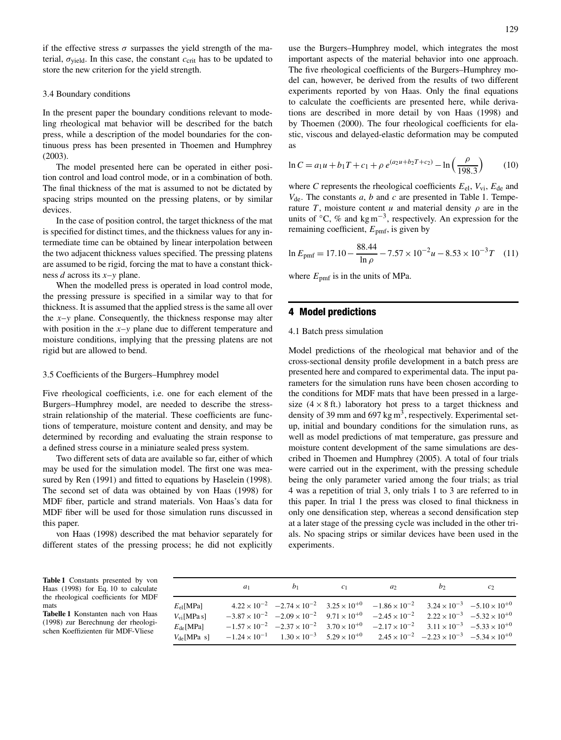if the effective stress  $\sigma$  surpasses the yield strength of the material,  $\sigma_{\text{yield}}$ . In this case, the constant  $c_{\text{crit}}$  has to be updated to store the new criterion for the yield strength.

#### 3.4 Boundary conditions

In the present paper the boundary conditions relevant to modeling rheological mat behavior will be described for the batch press, while a description of the model boundaries for the continuous press has been presented in Thoemen and Humphrey (2003).

The model presented here can be operated in either position control and load control mode, or in a combination of both. The final thickness of the mat is assumed to not be dictated by spacing strips mounted on the pressing platens, or by similar devices.

In the case of position control, the target thickness of the mat is specified for distinct times, and the thickness values for any intermediate time can be obtained by linear interpolation between the two adjacent thickness values specified. The pressing platens are assumed to be rigid, forcing the mat to have a constant thickness *d* across its *x*–*y* plane.

When the modelled press is operated in load control mode, the pressing pressure is specified in a similar way to that for thickness. It is assumed that the applied stress is the same all over the  $x-y$  plane. Consequently, the thickness response may alter with position in the *x*–*y* plane due to different temperature and moisture conditions, implying that the pressing platens are not rigid but are allowed to bend.

#### 3.5 Coefficients of the Burgers–Humphrey model

Five rheological coefficients, i.e. one for each element of the Burgers–Humphrey model, are needed to describe the stressstrain relationship of the material. These coefficients are functions of temperature, moisture content and density, and may be determined by recording and evaluating the strain response to a defined stress course in a miniature sealed press system.

Two different sets of data are available so far, either of which may be used for the simulation model. The first one was measured by Ren (1991) and fitted to equations by Haselein (1998). The second set of data was obtained by von Haas (1998) for MDF fiber, particle and strand materials. Von Haas's data for MDF fiber will be used for those simulation runs discussed in this paper.

von Haas (1998) described the mat behavior separately for different states of the pressing process; he did not explicitly use the Burgers–Humphrey model, which integrates the most important aspects of the material behavior into one approach. The five rheological coefficients of the Burgers–Humphrey model can, however, be derived from the results of two different experiments reported by von Haas. Only the final equations to calculate the coefficients are presented here, while derivations are described in more detail by von Haas (1998) and by Thoemen (2000). The four rheological coefficients for elastic, viscous and delayed-elastic deformation may be computed as

$$
\ln C = a_1 u + b_1 T + c_1 + \rho e^{(a_2 u + b_2 T + c_2)} - \ln \left( \frac{\rho}{198.3} \right)
$$
 (10)

where *C* represents the rheological coefficients  $E_{el}$ ,  $V_{vi}$ ,  $E_{de}$  and *V*de. The constants *a*, *b* and *c* are presented in Table 1. Temperature *T*, moisture content *u* and material density  $\rho$  are in the units of  $\mathrm{°C}$ , % and kg m<sup>-3</sup>, respectively. An expression for the remaining coefficient,  $E_{\text{pmf}}$ , is given by

$$
\ln E_{\text{pmf}} = 17.10 - \frac{88.44}{\ln \rho} - 7.57 \times 10^{-2} u - 8.53 \times 10^{-3} T \quad (11)
$$

where  $E_{\text{pmf}}$  is in the units of MPa.

# **4 Model predictions**

#### 4.1 Batch press simulation

Model predictions of the rheological mat behavior and of the cross-sectional density profile development in a batch press are presented here and compared to experimental data. The input parameters for the simulation runs have been chosen according to the conditions for MDF mats that have been pressed in a largesize  $(4 \times 8$  ft.) laboratory hot press to a target thickness and density of 39 mm and 697 kg  $m<sup>3</sup>$ , respectively. Experimental setup, initial and boundary conditions for the simulation runs, as well as model predictions of mat temperature, gas pressure and moisture content development of the same simulations are described in Thoemen and Humphrey (2005). A total of four trials were carried out in the experiment, with the pressing schedule being the only parameter varied among the four trials; as trial 4 was a repetition of trial 3, only trials 1 to 3 are referred to in this paper. In trial 1 the press was closed to final thickness in only one densification step, whereas a second densification step at a later stage of the pressing cycle was included in the other trials. No spacing strips or similar devices have been used in the experiments.

**Table 1** Constants presented by von Haas (1998) for Eq. 10 to calculate the rheological coefficients for MDF mats

**Tabelle 1** Konstanten nach von Haas (1998) zur Berechnung der rheologischen Koeffizienten für MDF-Vliese

|                                                                                               | $a_1$ | b <sub>1</sub>                                                      | $c_1$ | a <sub>2</sub>                                                                                                                                                                                                                                                                                                                                                                                                                                                                                     | $b^{\gamma}$ | $\mathcal{C}$ |
|-----------------------------------------------------------------------------------------------|-------|---------------------------------------------------------------------|-------|----------------------------------------------------------------------------------------------------------------------------------------------------------------------------------------------------------------------------------------------------------------------------------------------------------------------------------------------------------------------------------------------------------------------------------------------------------------------------------------------------|--------------|---------------|
| $E_{el}$ [MPa]<br>$V_{\rm vi}$ [MPa s]<br>$E_{\text{de}}[\text{MPa}]$<br>$V_{\rm de}$ [MPa s] |       | $-1.57 \times 10^{-2}$ $-2.37 \times 10^{-2}$ $3.70 \times 10^{+0}$ |       | $4.22 \times 10^{-2}$ $-2.74 \times 10^{-2}$ $3.25 \times 10^{+0}$ $-1.86 \times 10^{-2}$ $3.24 \times 10^{-3}$ $-5.10 \times 10^{+0}$<br>$-3.87 \times 10^{-2}$ $-2.09 \times 10^{-2}$ $9.71 \times 10^{+0}$ $-2.45 \times 10^{-2}$ $2.22 \times 10^{-3}$ $-5.32 \times 10^{+0}$<br>$-2.17 \times 10^{-2}$ $3.11 \times 10^{-3}$ $-5.33 \times 10^{+0}$<br>$-1.24 \times 10^{-1}$ $1.30 \times 10^{-3}$ $5.29 \times 10^{+0}$ $2.45 \times 10^{-2}$ $-2.23 \times 10^{-3}$ $-5.34 \times 10^{+0}$ |              |               |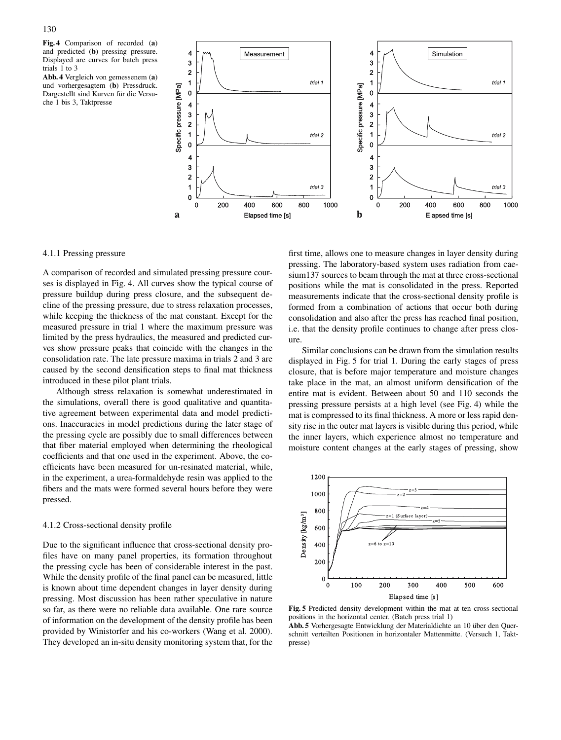**Fig. 4** Comparison of recorded (**a**) and predicted (**b**) pressing pressure. Displayed are curves for batch press trials 1 to 3

**Abb. 4** Vergleich von gemessenem (**a**) und vorhergesagtem (**b**) Pressdruck. Dargestellt sind Kurven für die Versuche 1 bis 3, Taktpresse



# 4.1.1 Pressing pressure

A comparison of recorded and simulated pressing pressure courses is displayed in Fig. 4. All curves show the typical course of pressure buildup during press closure, and the subsequent decline of the pressing pressure, due to stress relaxation processes, while keeping the thickness of the mat constant. Except for the measured pressure in trial 1 where the maximum pressure was limited by the press hydraulics, the measured and predicted curves show pressure peaks that coincide with the changes in the consolidation rate. The late pressure maxima in trials 2 and 3 are caused by the second densification steps to final mat thickness introduced in these pilot plant trials.

Although stress relaxation is somewhat underestimated in the simulations, overall there is good qualitative and quantitative agreement between experimental data and model predictions. Inaccuracies in model predictions during the later stage of the pressing cycle are possibly due to small differences between that fiber material employed when determining the rheological coefficients and that one used in the experiment. Above, the coefficients have been measured for un-resinated material, while, in the experiment, a urea-formaldehyde resin was applied to the fibers and the mats were formed several hours before they were pressed.

#### 4.1.2 Cross-sectional density profile

Due to the significant influence that cross-sectional density profiles have on many panel properties, its formation throughout the pressing cycle has been of considerable interest in the past. While the density profile of the final panel can be measured, little is known about time dependent changes in layer density during pressing. Most discussion has been rather speculative in nature so far, as there were no reliable data available. One rare source of information on the development of the density profile has been provided by Winistorfer and his co-workers (Wang et al. 2000). They developed an in-situ density monitoring system that, for the first time, allows one to measure changes in layer density during pressing. The laboratory-based system uses radiation from caesium137 sources to beam through the mat at three cross-sectional positions while the mat is consolidated in the press. Reported measurements indicate that the cross-sectional density profile is formed from a combination of actions that occur both during consolidation and also after the press has reached final position, i.e. that the density profile continues to change after press closure.

Similar conclusions can be drawn from the simulation results displayed in Fig. 5 for trial 1. During the early stages of press closure, that is before major temperature and moisture changes take place in the mat, an almost uniform densification of the entire mat is evident. Between about 50 and 110 seconds the pressing pressure persists at a high level (see Fig. 4) while the mat is compressed to its final thickness. A more or less rapid density rise in the outer mat layers is visible during this period, while the inner layers, which experience almost no temperature and moisture content changes at the early stages of pressing, show



**Fig. 5** Predicted density development within the mat at ten cross-sectional positions in the horizontal center. (Batch press trial 1)

**Abb. 5** Vorhergesagte Entwicklung der Materialdichte an 10 über den Querschnitt verteilten Positionen in horizontaler Mattenmitte. (Versuch 1, Taktpresse)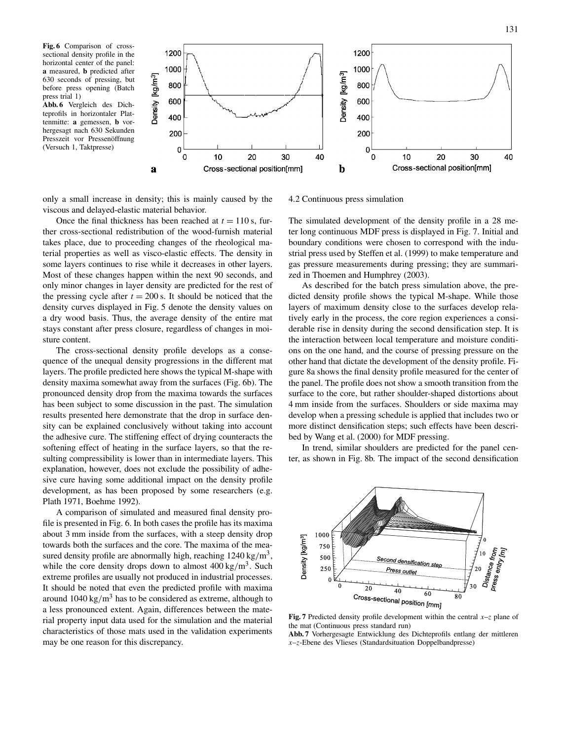**Fig. 6** Comparison of crosssectional density profile in the horizontal center of the panel: **a** measured, **b** predicted after 630 seconds of pressing, but before press opening (Batch press trial 1)

**Abb. 6** Vergleich des Dichteprofils in horizontaler Plattenmitte: **a** gemessen, **b** vorhergesagt nach 630 Sekunden Presszeit vor Pressenöffnung (Versuch 1, Taktpresse)



only a small increase in density; this is mainly caused by the viscous and delayed-elastic material behavior.

Once the final thickness has been reached at  $t = 110$  s, further cross-sectional redistribution of the wood-furnish material takes place, due to proceeding changes of the rheological material properties as well as visco-elastic effects. The density in some layers continues to rise while it decreases in other layers. Most of these changes happen within the next 90 seconds, and only minor changes in layer density are predicted for the rest of the pressing cycle after  $t = 200$  s. It should be noticed that the density curves displayed in Fig. 5 denote the density values on a dry wood basis. Thus, the average density of the entire mat stays constant after press closure, regardless of changes in moisture content.

The cross-sectional density profile develops as a consequence of the unequal density progressions in the different mat layers. The profile predicted here shows the typical M-shape with density maxima somewhat away from the surfaces (Fig. 6b). The pronounced density drop from the maxima towards the surfaces has been subject to some discussion in the past. The simulation results presented here demonstrate that the drop in surface density can be explained conclusively without taking into account the adhesive cure. The stiffening effect of drying counteracts the softening effect of heating in the surface layers, so that the resulting compressibility is lower than in intermediate layers. This explanation, however, does not exclude the possibility of adhesive cure having some additional impact on the density profile development, as has been proposed by some researchers (e.g. Plath 1971, Boehme 1992).

A comparison of simulated and measured final density profile is presented in Fig. 6. In both cases the profile has its maxima about 3 mm inside from the surfaces, with a steep density drop towards both the surfaces and the core. The maxima of the measured density profile are abnormally high, reaching  $1240 \text{ kg/m}^3$ , while the core density drops down to almost  $400 \text{ kg/m}^3$ . Such extreme profiles are usually not produced in industrial processes. It should be noted that even the predicted profile with maxima around  $1040 \text{ kg/m}^3$  has to be considered as extreme, although to a less pronounced extent. Again, differences between the material property input data used for the simulation and the material characteristics of those mats used in the validation experiments may be one reason for this discrepancy.

4.2 Continuous press simulation

The simulated development of the density profile in a 28 meter long continuous MDF press is displayed in Fig. 7. Initial and boundary conditions were chosen to correspond with the industrial press used by Steffen et al. (1999) to make temperature and gas pressure measurements during pressing; they are summarized in Thoemen and Humphrey (2003).

As described for the batch press simulation above, the predicted density profile shows the typical M-shape. While those layers of maximum density close to the surfaces develop relatively early in the process, the core region experiences a considerable rise in density during the second densification step. It is the interaction between local temperature and moisture conditions on the one hand, and the course of pressing pressure on the other hand that dictate the development of the density profile. Figure 8a shows the final density profile measured for the center of the panel. The profile does not show a smooth transition from the surface to the core, but rather shoulder-shaped distortions about 4 mm inside from the surfaces. Shoulders or side maxima may develop when a pressing schedule is applied that includes two or more distinct densification steps; such effects have been described by Wang et al. (2000) for MDF pressing.

In trend, similar shoulders are predicted for the panel center, as shown in Fig. 8b. The impact of the second densification



**Fig. 7** Predicted density profile development within the central  $x-z$  plane of the mat (Continuous press standard run)

**Abb. 7** Vorhergesagte Entwicklung des Dichteprofils entlang der mittleren *x*–*z*-Ebene des Vlieses (Standardsituation Doppelbandpresse)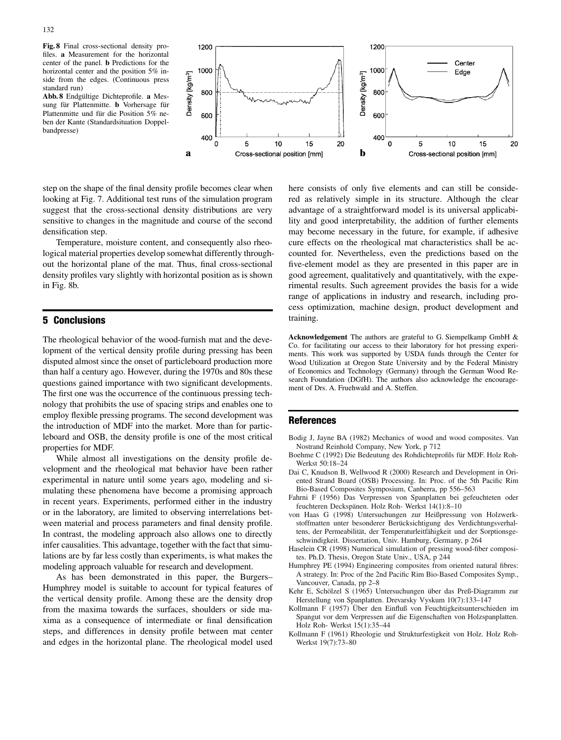**Fig. 8** Final cross-sectional density profiles. **a** Measurement for the horizontal center of the panel. **b** Predictions for the horizontal center and the position 5% inside from the edges. (Continuous press standard run)

**Abb. 8** Endgültige Dichteprofile. **a** Messung für Plattenmitte. **b** Vorhersage für Plattenmitte und für die Position 5% neben der Kante (Standardsituation Doppelbandpresse)



step on the shape of the final density profile becomes clear when looking at Fig. 7. Additional test runs of the simulation program suggest that the cross-sectional density distributions are very sensitive to changes in the magnitude and course of the second densification step.

Temperature, moisture content, and consequently also rheological material properties develop somewhat differently throughout the horizontal plane of the mat. Thus, final cross-sectional density profiles vary slightly with horizontal position as is shown in Fig. 8b.

## **5 Conclusions**

The rheological behavior of the wood-furnish mat and the development of the vertical density profile during pressing has been disputed almost since the onset of particleboard production more than half a century ago. However, during the 1970s and 80s these questions gained importance with two significant developments. The first one was the occurrence of the continuous pressing technology that prohibits the use of spacing strips and enables one to employ flexible pressing programs. The second development was the introduction of MDF into the market. More than for particleboard and OSB, the density profile is one of the most critical properties for MDF.

While almost all investigations on the density profile development and the rheological mat behavior have been rather experimental in nature until some years ago, modeling and simulating these phenomena have become a promising approach in recent years. Experiments, performed either in the industry or in the laboratory, are limited to observing interrelations between material and process parameters and final density profile. In contrast, the modeling approach also allows one to directly infer causalities. This advantage, together with the fact that simulations are by far less costly than experiments, is what makes the modeling approach valuable for research and development.

As has been demonstrated in this paper, the Burgers– Humphrey model is suitable to account for typical features of the vertical density profile. Among these are the density drop from the maxima towards the surfaces, shoulders or side maxima as a consequence of intermediate or final densification steps, and differences in density profile between mat center and edges in the horizontal plane. The rheological model used here consists of only five elements and can still be considered as relatively simple in its structure. Although the clear advantage of a straightforward model is its universal applicability and good interpretability, the addition of further elements may become necessary in the future, for example, if adhesive cure effects on the rheological mat characteristics shall be accounted for. Nevertheless, even the predictions based on the five-element model as they are presented in this paper are in good agreement, qualitatively and quantitatively, with the experimental results. Such agreement provides the basis for a wide range of applications in industry and research, including process optimization, machine design, product development and training.

**Acknowledgement** The authors are grateful to G. Siempelkamp GmbH & Co. for facilitating our access to their laboratory for hot pressing experiments. This work was supported by USDA funds through the Center for Wood Utilization at Oregon State University and by the Federal Ministry of Economics and Technology (Germany) through the German Wood Research Foundation (DGfH). The authors also acknowledge the encouragement of Drs. A. Fruehwald and A. Steffen.

## **References**

- Bodig J, Jayne BA (1982) Mechanics of wood and wood composites. Van Nostrand Reinhold Company, New York, p 712
- Boehme C (1992) Die Bedeutung des Rohdichteprofils für MDF. Holz Roh-Werkst 50:18–24
- Dai C, Knudson B, Wellwood R (2000) Research and Development in Oriented Strand Board (OSB) Processing. In: Proc. of the 5th Pacific Rim Bio-Based Composites Symposium, Canberra, pp 556–563
- Fahrni F (1956) Das Verpressen von Spanplatten bei gefeuchteten oder feuchteren Deckspänen. Holz Roh- Werkst 14(1):8–10
- von Haas G (1998) Untersuchungen zur Heißpressung von Holzwerkstoffmatten unter besonderer Berücksichtigung des Verdichtungsverhaltens, der Permeabilität, der Temperaturleitfähigkeit und der Sorptionsgeschwindigkeit. Dissertation, Univ. Hamburg, Germany, p 264
- Haselein CR (1998) Numerical simulation of pressing wood-fiber composites. Ph.D. Thesis, Oregon State Univ., USA, p 244
- Humphrey PE (1994) Engineering composites from oriented natural fibres: A strategy. In: Proc of the 2nd Pacific Rim Bio-Based Composites Symp., Vancouver, Canada, pp 2–8
- Kehr E, Schölzel S (1965) Untersuchungen über das Preß-Diagramm zur Herstellung von Spanplatten. Drevarsky Vyskum 10(7):133–147
- Kollmann F (1957) Über den Einfluß von Feuchtigkeitsunterschieden im Spangut vor dem Verpressen auf die Eigenschaften von Holzspanplatten. Holz Roh- Werkst 15(1):35–44
- Kollmann F (1961) Rheologie und Strukturfestigkeit von Holz. Holz Roh-Werkst 19(7):73–80